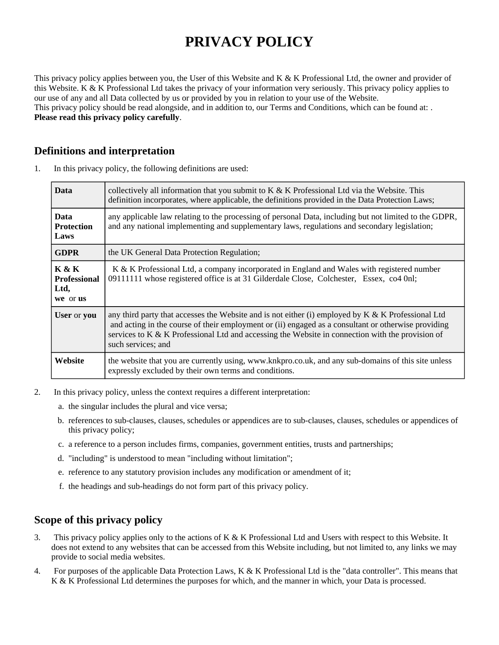# **PRIVACY POLICY**

This privacy policy applies between you, the User of this Website and K & K Professional Ltd, the owner and provider of this Website. K & K Professional Ltd takes the privacy of your information very seriously. This privacy policy applies to our use of any and all Data collected by us or provided by you in relation to your use of the Website. This privacy policy should be read alongside, and in addition to, our Terms and Conditions, which can be found at: . **Please read this privacy policy carefully**.

#### **Definitions and interpretation**

1. In this privacy policy, the following definitions are used:

| <b>Data</b>                                          | collectively all information that you submit to K & K Professional Ltd via the Website. This<br>definition incorporates, where applicable, the definitions provided in the Data Protection Laws;                                                                                                                                    |
|------------------------------------------------------|-------------------------------------------------------------------------------------------------------------------------------------------------------------------------------------------------------------------------------------------------------------------------------------------------------------------------------------|
| <b>Data</b><br><b>Protection</b><br>Laws             | any applicable law relating to the processing of personal Data, including but not limited to the GDPR,<br>and any national implementing and supplementary laws, regulations and secondary legislation;                                                                                                                              |
| <b>GDPR</b>                                          | the UK General Data Protection Regulation;                                                                                                                                                                                                                                                                                          |
| <b>K &amp; K</b><br>Professional<br>Ltd,<br>we or us | K & K Professional Ltd, a company incorporated in England and Wales with registered number<br>09111111 whose registered office is at 31 Gilderdale Close, Colchester, Essex, co4 0nl;                                                                                                                                               |
| <b>User</b> or you                                   | any third party that accesses the Website and is not either (i) employed by K & K Professional Ltd<br>and acting in the course of their employment or (ii) engaged as a consultant or otherwise providing<br>services to K & K Professional Ltd and accessing the Website in connection with the provision of<br>such services; and |
| Website                                              | the website that you are currently using, www.knkpro.co.uk, and any sub-domains of this site unless<br>expressly excluded by their own terms and conditions.                                                                                                                                                                        |

- 2. In this privacy policy, unless the context requires a different interpretation:
	- a. the singular includes the plural and vice versa;
	- b. references to sub-clauses, clauses, schedules or appendices are to sub-clauses, clauses, schedules or appendices of this privacy policy;
	- c. a reference to a person includes firms, companies, government entities, trusts and partnerships;
	- d. "including" is understood to mean "including without limitation";
	- e. reference to any statutory provision includes any modification or amendment of it;
	- f. the headings and sub-headings do not form part of this privacy policy.

#### **Scope of this privacy policy**

- 3. This privacy policy applies only to the actions of K & K Professional Ltd and Users with respect to this Website. It does not extend to any websites that can be accessed from this Website including, but not limited to, any links we may provide to social media websites.
- 4. For purposes of the applicable Data Protection Laws, K & K Professional Ltd is the "data controller". This means that K & K Professional Ltd determines the purposes for which, and the manner in which, your Data is processed.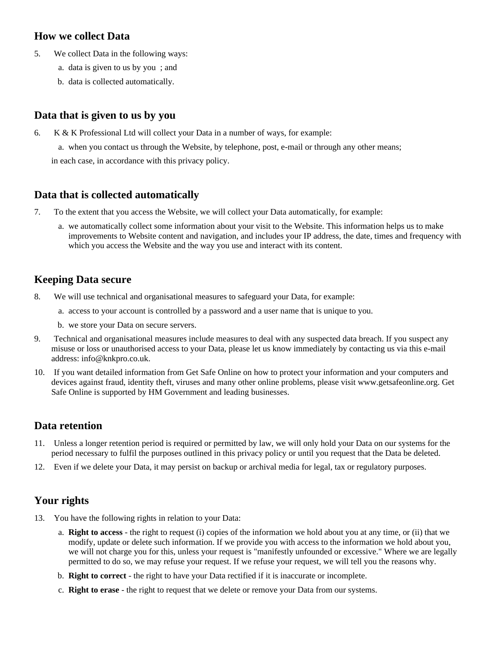#### **How we collect Data**

- 5. We collect Data in the following ways:
	- a. data is given to us by you ; and
	- b. data is collected automatically.

## **Data that is given to us by you**

6. K & K Professional Ltd will collect your Data in a number of ways, for example:

a. when you contact us through the Website, by telephone, post, e-mail or through any other means;

in each case, in accordance with this privacy policy.

#### **Data that is collected automatically**

- 7. To the extent that you access the Website, we will collect your Data automatically, for example:
	- a. we automatically collect some information about your visit to the Website. This information helps us to make improvements to Website content and navigation, and includes your IP address, the date, times and frequency with which you access the Website and the way you use and interact with its content.

### **Keeping Data secure**

- 8. We will use technical and organisational measures to safeguard your Data, for example:
	- a. access to your account is controlled by a password and a user name that is unique to you.
	- b. we store your Data on secure servers.
- 9. Technical and organisational measures include measures to deal with any suspected data breach. If you suspect any misuse or loss or unauthorised access to your Data, please let us know immediately by contacting us via this e-mail address: info@knkpro.co.uk.
- 10. If you want detailed information from Get Safe Online on how to protect your information and your computers and devices against fraud, identity theft, viruses and many other online problems, please visit www.getsafeonline.org. Get Safe Online is supported by HM Government and leading businesses.

#### **Data retention**

- 11. Unless a longer retention period is required or permitted by law, we will only hold your Data on our systems for the period necessary to fulfil the purposes outlined in this privacy policy or until you request that the Data be deleted.
- 12. Even if we delete your Data, it may persist on backup or archival media for legal, tax or regulatory purposes.

# **Your rights**

- 13. You have the following rights in relation to your Data:
	- a. **Right to access** the right to request (i) copies of the information we hold about you at any time, or (ii) that we modify, update or delete such information. If we provide you with access to the information we hold about you, we will not charge you for this, unless your request is "manifestly unfounded or excessive." Where we are legally permitted to do so, we may refuse your request. If we refuse your request, we will tell you the reasons why.
	- b. **Right to correct** the right to have your Data rectified if it is inaccurate or incomplete.
	- c. **Right to erase** the right to request that we delete or remove your Data from our systems.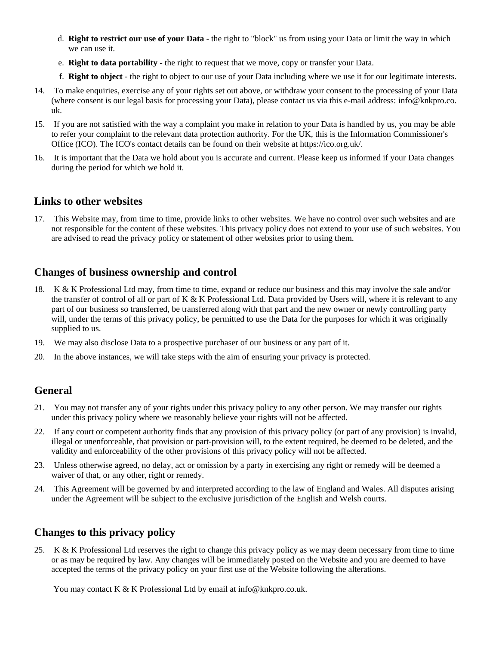- d. **Right to restrict our use of your Data** the right to "block" us from using your Data or limit the way in which we can use it.
- e. **Right to data portability** the right to request that we move, copy or transfer your Data.
- f. **Right to object** the right to object to our use of your Data including where we use it for our legitimate interests.
- 14. To make enquiries, exercise any of your rights set out above, or withdraw your consent to the processing of your Data (where consent is our legal basis for processing your Data), please contact us via this e-mail address: info@knkpro.co. uk.
- 15. If you are not satisfied with the way a complaint you make in relation to your Data is handled by us, you may be able to refer your complaint to the relevant data protection authority. For the UK, this is the Information Commissioner's Office (ICO). The ICO's contact details can be found on their website at https://ico.org.uk/.
- 16. It is important that the Data we hold about you is accurate and current. Please keep us informed if your Data changes during the period for which we hold it.

#### **Links to other websites**

17. This Website may, from time to time, provide links to other websites. We have no control over such websites and are not responsible for the content of these websites. This privacy policy does not extend to your use of such websites. You are advised to read the privacy policy or statement of other websites prior to using them.

#### **Changes of business ownership and control**

- 18. K & K Professional Ltd may, from time to time, expand or reduce our business and this may involve the sale and/or the transfer of control of all or part of  $K & K$  Professional Ltd. Data provided by Users will, where it is relevant to any part of our business so transferred, be transferred along with that part and the new owner or newly controlling party will, under the terms of this privacy policy, be permitted to use the Data for the purposes for which it was originally supplied to us.
- 19. We may also disclose Data to a prospective purchaser of our business or any part of it.
- 20. In the above instances, we will take steps with the aim of ensuring your privacy is protected.

#### **General**

- 21. You may not transfer any of your rights under this privacy policy to any other person. We may transfer our rights under this privacy policy where we reasonably believe your rights will not be affected.
- 22. If any court or competent authority finds that any provision of this privacy policy (or part of any provision) is invalid, illegal or unenforceable, that provision or part-provision will, to the extent required, be deemed to be deleted, and the validity and enforceability of the other provisions of this privacy policy will not be affected.
- 23. Unless otherwise agreed, no delay, act or omission by a party in exercising any right or remedy will be deemed a waiver of that, or any other, right or remedy.
- 24. This Agreement will be governed by and interpreted according to the law of England and Wales. All disputes arising under the Agreement will be subject to the exclusive jurisdiction of the English and Welsh courts.

#### **Changes to this privacy policy**

25. K & K Professional Ltd reserves the right to change this privacy policy as we may deem necessary from time to time or as may be required by law. Any changes will be immediately posted on the Website and you are deemed to have accepted the terms of the privacy policy on your first use of the Website following the alterations.

You may contact K & K Professional Ltd by email at info@knkpro.co.uk.